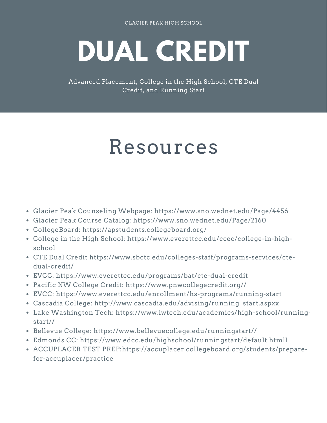# **DUAL CREDIT**

Advanced Placement, College in the High School, CTE Dual Credit, and Running Start

# Resources

- Glacier Peak Counseling Webpage: <https://www.sno.wednet.edu/Page/4456>
- Glacier Peak Course Catalog: <https://www.sno.wednet.edu/Page/2160>
- CollegeBoard: <https://apstudents.collegeboard.org/>
- College in the High School: [https://www.everettcc.edu/ccec/college-in-high](https://www.everettcc.edu/ccec/college-in-high-school)school
- CTE Dual Credit [https://www.sbctc.edu/colleges-staff/programs-services/cte](https://www.sbctc.edu/colleges-staff/programs-services/cte-dual-credit/)dual-credit/
- EVCC: <https://www.everettcc.edu/programs/bat/cte-dual-credit>
- Pacific NW College Credit: [https://www.pnwcollegecredit.org//](https://www.pnwcollegecredit.org/)
- EVCC: https://www.everettcc.edu/enrollment/hs-programs/running-start
- Cascadia College: [http://www.cascadia.edu/advising/running\\_start.aspxx](http://www.cascadia.edu/advising/running_start.aspxx)
- Lake Washington Tech: [https://www.lwtech.edu/academics/high-school/running](https://www.lwtech.edu/academics/high-school/running-start/)start//
- Bellevue College: [https://www.bellevuecollege.edu/runningstart//](https://www.bellevuecollege.edu/runningstart/)
- Edmonds CC: <https://www.edcc.edu/highschool/runningstart/default.htmll>
- ACCUPLACER TEST PREP:https://accuplacer.collegeboard.org/students/preparefor-accuplacer/practice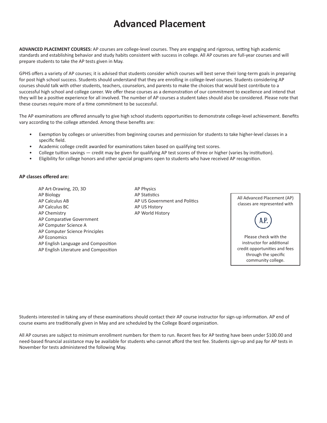### **Advanced Placement**

**ADVANCED PLACEMENT COURSES:** AP courses are college-level courses. They are engaging and rigorous, setting high academic standards and establishing behavior and study habits consistent with success in college. All AP courses are full-year courses and will prepare students to take the AP tests given in May.

GPHS offers a variety of AP courses; it is advised that students consider which courses will best serve their long-term goals in preparing for post high school success. Students should understand that they are enrolling in college-level courses. Students considering AP courses should talk with other students, teachers, counselors, and parents to make the choices that would best contribute to a successful high school and college career. We offer these courses as a demonstration of our commitment to excellence and intend that they will be a positive experience for all involved. The number of AP courses a student takes should also be considered. Please note that these courses require more of a time commitment to be successful.

The AP examinations are offered annually to give high school students opportunities to demonstrate college-level achievement. Benefits vary according to the college attended. Among these benefits are:

- Exemption by colleges or universities from beginning courses and permission for students to take higher-level classes in a specific field.
- Academic college credit awarded for examinations taken based on qualifying test scores.
- College tuition savings credit may be given for qualifying AP test scores of three or higher (varies by institution).
- Eligibility for college honors and other special programs open to students who have received AP recognition.

#### **AP classes offered are:**

AP Art-Drawing, 2D, 3D AP Physics AP Biology **AP Statistics** AP Calculus AB AP US Government and Politics AP Calculus BC AP US History AP Chemistry **AP World History** AP Comparative Government AP Computer Science A AP Computer Science Principles AP Economics AP English Language and Composition AP English Literature and Composition



Students interested in taking any of these examinations should contact their AP course instructor for sign-up information. AP end of course exams are traditionally given in May and are scheduled by the College Board organization.

All AP courses are subject to minimum enrollment numbers for them to run. Recent fees for AP testing have been under \$100.00 and need-based financial assistance may be available for students who cannot afford the test fee. Students sign-up and pay for AP tests in November for tests administered the following May.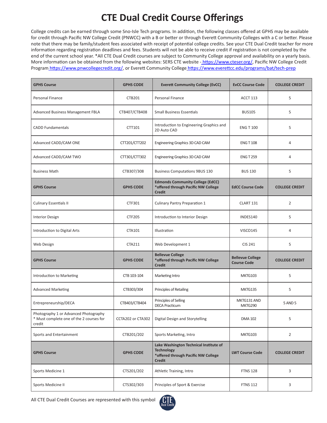## **CTE Dual Credit Course Offerings**

College credits can be earned through some Sno-Isle Tech programs. In addition, the following classes offered at GPHS may be available for credit through Pacific NW College Credit (PNWCC) with a B or better or through Everett Community Colleges with a C or better. Please note that there may be family/student fees associated with receipt of potential college credits. See your CTE Dual Credit teacher for more information regarding registration deadlines and fees. Students will not be able to receive credit if registration is not completed by the end of the current school year. \*All CTE Dual Credit courses are subject to Community College approval and availability on a yearly basis. More information can be obtained from the following websites: SERS CTE website [- https://www.cteser.org/,]( https://www.cteser.org/) Pacific NW College Credit Program [https://www.pnwcollegecredit.org/,]( https://www.pnwcollegecredit.org/) or Everett Community College <https://www.everettcc.edu/programs/bat/tech-prep>

| <b>GPHS Course</b>                                                                          | <b>GPHS CODE</b>  | <b>Everett Community College (EvCC)</b>                                                                             | <b>EvCC Course Code</b>                       | <b>COLLEGE CREDIT</b> |
|---------------------------------------------------------------------------------------------|-------------------|---------------------------------------------------------------------------------------------------------------------|-----------------------------------------------|-----------------------|
| Personal Finance                                                                            | <b>CTB201</b>     | Personal Finance                                                                                                    | <b>ACCT 113</b>                               | 5                     |
| Advanced Business Management FBLA                                                           | CTB407/CTB408     | <b>Small Business Essentials</b>                                                                                    | <b>BUS105</b>                                 | 5                     |
| <b>CADD Fundamentals</b>                                                                    | CTT101            | Introduction to Engineering Graphics and<br>2D Auto CAD                                                             | <b>ENG T 100</b>                              | 5                     |
| Advanced CADD/CAM ONE                                                                       | CTT201/CTT202     | Engineering Graphics 3D CAD CAM                                                                                     | <b>ENG T 108</b>                              | 4                     |
| Advanced CADD/CAM TWO                                                                       | CTT301/CTT302     | Engineering Graphics 3D CAD CAM                                                                                     | <b>ENG T 259</b>                              | 4                     |
| <b>Business Math</b>                                                                        | CTB307/308        | <b>Business Computations 9BUS 130</b>                                                                               | <b>BUS 130</b>                                | 5                     |
| <b>GPHS Course</b>                                                                          | <b>GPHS CODE</b>  | <b>Edmonds Community College (EdCC)</b><br>*offered through Pacific NW College<br><b>Credit</b>                     | <b>EdCC Course Code</b>                       | <b>COLLEGE CREDIT</b> |
| <b>Culinary Essentials II</b>                                                               | CTF301            | <b>Culinary Pantry Preparation 1</b>                                                                                | CLART 131                                     | $\overline{2}$        |
| <b>Interior Design</b>                                                                      | <b>CTF205</b>     | Introduction to Interior Design                                                                                     | INDES140                                      | 5                     |
| Introduction to Digital Arts                                                                | CTA101            | Illustration                                                                                                        | VISCO145                                      | 4                     |
| Web Design                                                                                  | CTA211            | Web Development 1                                                                                                   | CIS 241                                       | 5                     |
| <b>GPHS Course</b>                                                                          | <b>GPHS CODE</b>  | <b>Bellevue College</b><br>*offered through Pacific NW College<br><b>Credit</b>                                     | <b>Bellevue College</b><br><b>Course Code</b> | <b>COLLEGE CREDIT</b> |
| Introduction to Marketing                                                                   | CTB 103-104       | Marketing Intro                                                                                                     | <b>MKTG103</b>                                | 5                     |
| <b>Advanced Marketing</b>                                                                   | CTB303/304        | Principles of Retailing                                                                                             | MKTG135                                       | 5                     |
| Entrepreneurship/DECA                                                                       | CTB403/CTB404     | Principles of Selling<br><b>DECA Practicum</b>                                                                      | MKTG131 AND<br>MKTG290                        | 5 AND 5               |
| Photography 1 or Advanced Photography<br>* Must complete one of the 2 courses for<br>credit | CCTA202 or CTA302 | Digital Design and Storytelling                                                                                     | <b>DMA 102</b>                                | 5                     |
| Sports and Entertainment                                                                    | CTB201/202        | Sports Marketing, Intro                                                                                             | MKTG103                                       | $\overline{2}$        |
| <b>GPHS Course</b>                                                                          | <b>GPHS CODE</b>  | Lake Washington Technical Institute of<br><b>Technology</b><br>*offered through Pacific NW College<br><b>Credit</b> | <b>LWT Course Code</b>                        | <b>COLLEGE CREDIT</b> |
| Sports Medicine 1                                                                           | CTS201/202        | Athletic Training, Intro                                                                                            | <b>FTNS 128</b>                               | 3                     |
| Sports Medicine II                                                                          | CTS302/303        | Principles of Sport & Exercise                                                                                      | <b>FTNS 112</b>                               | 3                     |

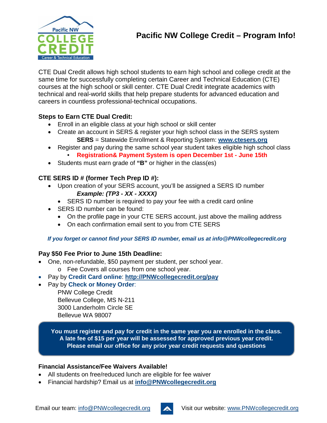

CTE Dual Credit allows high school students to earn high school and college credit at the same time for successfully completing certain Career and Technical Education (CTE) courses at the high school or skill center. CTE Dual Credit integrate academics with technical and real-world skills that help prepare students for advanced education and careers in countless professional-technical occupations.

#### **Steps to Earn CTE Dual Credit:**

- Enroll in an eligible class at your high school or skill center
- Create an account in SERS & register your high school class in the SERS system **SERS** = Statewide Enrollment & Reporting System: **www.ctesers.org**
- Register and pay during the same school year student takes eligible high school class
	- **Registration& Payment System is open December 1st - June 15th**
- Students must earn grade of **"B"** or higher in the class(es)

#### **CTE SERS ID # (former Tech Prep ID #):**

- Upon creation of your SERS account, you'll be assigned a SERS ID number *Example: (TP3 - XX - XXXX)*
	- SERS ID number is required to pay your fee with a credit card online
- SERS ID number can be found:
	- On the profile page in your CTE SERS account, just above the mailing address
	- On each confirmation email sent to you from CTE SERS

#### *If you forget or cannot find your SERS ID number, email us at info@PNWcollegecredit.org*

#### **Pay \$50 Fee Prior to June 15th Deadline:**

- One, non-refundable, \$50 payment per student, per school year.
	- o Fee Covers all courses from one school year.
- Pay by **Credit Card online**: **[http://PNWcollegecredit.org/pay](http://pnwcollegecredit.org/pay)**
- Pay by **Check or Money Order**:

PNW College Credit Bellevue College, MS N-211 3000 Landerholm Circle SE Bellevue WA 98007

**You must register and pay for credit in the same year you are enrolled in the class. A late fee of \$15 per year will be assessed for approved previous year credit. Please email our office for any prior year credit requests and questions**

#### **Financial Assistance/Fee Waivers Available!**

- All students on free/reduced lunch are eligible for fee waiver
- Financial hardship? Email us at **[info@PNWcollegecredit.org](mailto:info@PNWcollegecredit.org)**

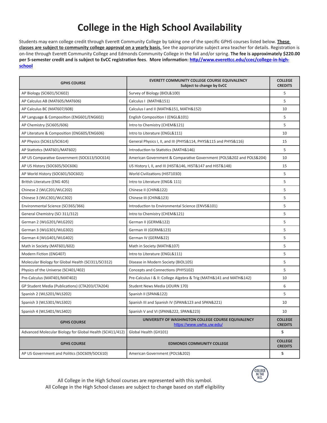# **College in the High School Availability**

Students may earn college credit through Everett Community College by taking one of the specific GPHS courses listed below. **These classes are subject to community college approval on a yearly basis.** See the appropriate subject area teacher for details. Registration is on-line through Everett Community College and Edmonds Community College in the fall and/or spring. **The fee is approximately \$220.00 per 5-semester credit and is subject to EvCC registration fees**. **More information: [http//www.everettcc.edu/ccec/college-in-high](file:///E:\www.everettcc.edu\ccec\college-in-high-school)[school](file:///E:\www.everettcc.edu\ccec\college-in-high-school)**

| <b>GPHS COURSE</b>                                        | EVERETT COMMUNITY COLLEGE COURSE EQUIVALENCY<br>Subject to change by EvCC       | <b>COLLEGE</b><br><b>CREDITS</b> |
|-----------------------------------------------------------|---------------------------------------------------------------------------------|----------------------------------|
| AP Biology (SCI601/SCI602)                                | Survey of Biology (BIOL&100)                                                    | 5                                |
| AP Calculus AB (MAT605/MAT606)                            | Calculus I (MATH&151)                                                           | 5                                |
| AP Calculus BC (MAT607/608)                               | Calculus I and II (MATH&151, MATH&152)                                          | 10                               |
| AP Language & Composition (ENG601/ENG602)                 | English Composition I (ENGL&101)                                                | 5                                |
| AP Chemistry (SCI605/606)                                 | Intro to Chemistry (CHEM&121)                                                   | 5                                |
| AP Literature & Composition (ENG605/ENG606)               | Intro to Literature (ENGL&111)                                                  | 10                               |
| AP Physics (SCI613/SCI614)                                | General Physics I, II, and III (PHYS&114, PHYS&115 and PHYS&116)                | 15                               |
| AP Statistics (MAT601/MAT602)                             | Introduction to Statistics (MATH&146)                                           | 5                                |
| AP US Comparative Government (SOC613/SOC614)              | American Government & Comparative Government (POLS&202 and POLS&204)            | 10                               |
| AP US History (SOC605/SOC606)                             | US History I, II, and III (HIST&146, HIST&147 and HIST&148)                     | 15                               |
| AP World History (SOC601/SOC602)                          | World Civilizations (HIST103D)                                                  | 5                                |
| British Literature (ENG 405)                              | Intro to Literature (ENG& 111)                                                  | 5                                |
| Chinese 2 (WLC201/WLC202)                                 | Chinese II (CHIN&122)                                                           | 5                                |
| Chinese 3 (WLC301/WLC302)                                 | Chinese III (CHIN&123)                                                          | 5                                |
| Environmental Science (SCI365/366)                        | Introduction to Environmental Science (ENVS&101)                                | 5                                |
| General Chemistry (SCI 311/312)                           | Intro to Chemistry (CHEM&121)                                                   | 5                                |
| German 2 (WLG201/WLG202)                                  | German II (GERM&122)                                                            | 5                                |
| German 3 (WLG301/WLG302)                                  | German III (GERM&123)                                                           | 5                                |
| German 4 (WLG401/WLG402)                                  | German IV (GERM&22)                                                             | 5                                |
| Math in Society (MAT601/602)                              | Math in Society (MATH&107)                                                      | 5                                |
| Modern Fiction (ENG407)                                   | Intro to Literature (ENGL&111)                                                  | 5                                |
| Molecular Biology for Global Health (SCI311/SCI312)       | Disease in Modern Society (BIOL105)                                             | 5                                |
| Physics of the Universe (SCI401/402)                      | Concepts and Connections (PHYS102)                                              | 5                                |
| Pre-Calculus (MAT401/MAT402)                              | Pre-Calculus I & II: College Algebra & Trig (MATH&141 and MATH&142)             | 10                               |
| GP Student Media (Publications) (CTA203/CTA204)           | Student News Media (JOURN 170)                                                  | 6                                |
| Spanish 2 (WLS201/WLS202)                                 | Spanish II (SPAN&122)                                                           | 5                                |
| Spanish 3 (WLS301/WLS302)                                 | Spanish III and Spanish IV (SPAN&123 and SPAN&221)                              | 10                               |
| Spanish 4 (WLS401/WLS402)                                 | Spanish V and VI (SPAN&222, SPAN&223)                                           | 10                               |
| <b>GPHS COURSE</b>                                        | UNIVERSITY OF WASHINGTON COLLEGE COURSE EQUIVALENCY<br>https://www.uwhs.uw.edu/ | <b>COLLEGE</b><br><b>CREDITS</b> |
| Advanced Molecular Biology for Global Health (SCI411/412) | Global Health (GH101)                                                           | 5                                |
| <b>GPHS COURSE</b>                                        | <b>EDMONDS COMMUNITY COLLEGE</b>                                                | <b>COLLEGE</b><br><b>CREDITS</b> |
| AP US Government and Politics (SOC609/SOC610)             | American Government (POLS&202)                                                  | 5                                |

All College in the High School courses are represented with this symbol. All College in the High School classes are subject to change based on staff eligibility